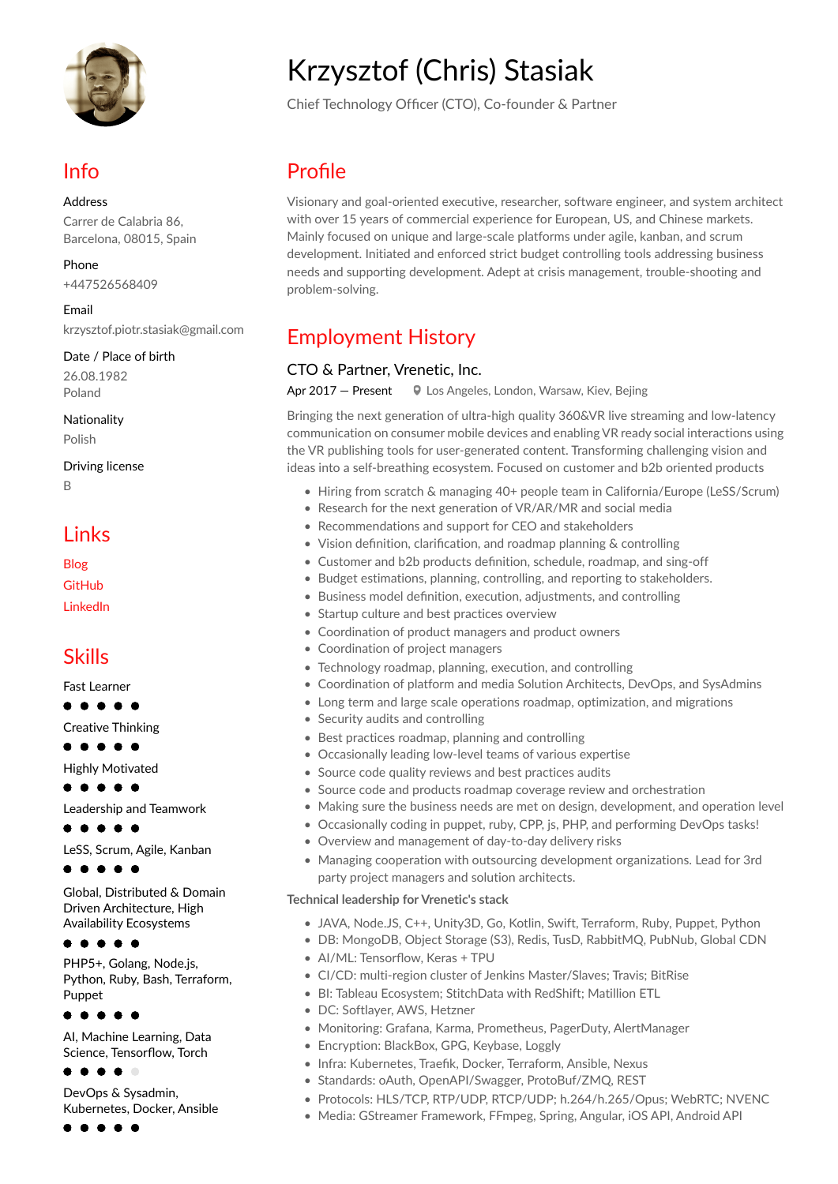

## Info

Address Carrer de Calabria 86. Barcelona, 08015, Spain

Phone +447526568409

Email krzysztof.piotr.stasiak@gmail.com

Date / Place of birth 26.08.1982 Poland

Nationality Polish

**Driving license**  $\overline{B}$ 

### Links

Blog GitHub **LinkedIn** 

### **Skills**

**Fast Learner** 

### $\bullet\bullet\bullet\bullet$

Creative Thinking

 $\bullet\bullet\bullet\bullet$ 

**Highly Motivated**  $\bullet\bullet\bullet\bullet$ 

Leadership and Teamwork

**. . . . .** 

LeSS, Scrum, Agile, Kanban

 $\bullet\bullet\bullet\bullet$ 

Global, Distributed & Domain Driven Architecture, High **Availability Ecosystems** 

. . . . .

PHP5+, Golang, Node.js, Python, Ruby, Bash, Terraform, Punnet

 $\bullet$   $\bullet$ 

Al, Machine Learning, Data Science, Tensorflow, Torch

. . . .

DevOps & Sysadmin. Kubernetes, Docker, Ansible

 $\bullet\bullet\bullet\bullet$ 

# **Krzysztof (Chris) Stasiak**

Chief Technology Officer (CTO), Co-founder & Partner

# Profile

Visionary and goal-oriented executive, researcher, software engineer, and system architect with over 15 years of commercial experience for European, US, and Chinese markets. Mainly focused on unique and large-scale platforms under agile, kanban, and scrum development. Initiated and enforced strict budget controlling tools addressing business needs and supporting development. Adept at crisis management, trouble-shooting and problem-solving.

# **Employment History**

### CTO & Partner, Vrenetic, Inc.

Apr 2017 - Present **V** Los Angeles, London, Warsaw, Kiev, Bejing

Bringing the next generation of ultra-high quality 360&VR live streaming and low-latency communication on consumer mobile devices and enabling VR ready social interactions using the VR publishing tools for user-generated content. Transforming challenging vision and ideas into a self-breathing ecosystem. Focused on customer and b2b oriented products

- Hiring from scratch & managing 40+ people team in California/Europe (LeSS/Scrum)
- Research for the next generation of VR/AR/MR and social media
- Recommendations and support for CEO and stakeholders
- Vision definition, clarification, and roadmap planning & controlling
- Customer and b2b products definition, schedule, roadmap, and sing-off
- Budget estimations, planning, controlling, and reporting to stakeholders.
- Business model definition, execution, adjustments, and controlling
- Startup culture and best practices overview
- Coordination of product managers and product owners
- Coordination of project managers
- Technology roadmap, planning, execution, and controlling
- Coordination of platform and media Solution Architects, DevOps, and SysAdmins
- Long term and large scale operations roadmap, optimization, and migrations
- Security audits and controlling
- Best practices roadmap, planning and controlling
- Occasionally leading low-level teams of various expertise
- Source code quality reviews and best practices audits
- Source code and products roadmap coverage review and orchestration
- Making sure the business needs are met on design, development, and operation level
- Occasionally coding in puppet, ruby, CPP, js, PHP, and performing DevOps tasks!
- Overview and management of day-to-day delivery risks
- Managing cooperation with outsourcing development organizations. Lead for 3rd party project managers and solution architects.

### Technical leadership for Vrenetic's stack

- JAVA, Node.JS, C++, Unity3D, Go, Kotlin, Swift, Terraform, Ruby, Puppet, Python
- · DB: MongoDB, Object Storage (S3), Redis, TusD, RabbitMQ, PubNub, Global CDN
- Al/ML: Tensorflow, Keras + TPU
- CI/CD: multi-region cluster of Jenkins Master/Slaves; Travis; BitRise
- BI: Tableau Ecosystem; StitchData with RedShift; Matillion ETL
- DC: Softlaver, AWS, Hetzner
- Monitoring: Grafana, Karma, Prometheus, PagerDuty, AlertManager
- Encryption: BlackBox, GPG, Keybase, Loggly
- · Infra: Kubernetes, Traefik, Docker, Terraform, Ansible, Nexus
- Standards: oAuth, OpenAPI/Swagger, ProtoBuf/ZMQ, REST
- · Protocols: HLS/TCP, RTP/UDP, RTCP/UDP; h.264/h.265/Opus; WebRTC; NVENC
- Media: GStreamer Framework, FFmpeg, Spring, Angular, iOS API, Android API